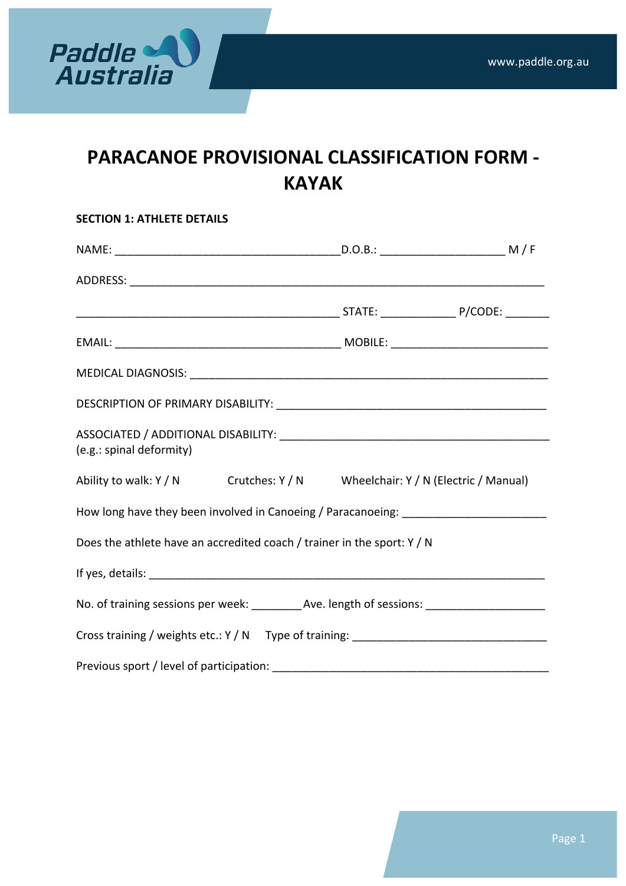

# **PARACANOE PROVISIONAL CLASSIFICATION FORM -KAYAK**

| <b>SECTION 1: ATHLETE DETAILS</b>                                                                    |  |  |  |  |  |
|------------------------------------------------------------------------------------------------------|--|--|--|--|--|
|                                                                                                      |  |  |  |  |  |
|                                                                                                      |  |  |  |  |  |
|                                                                                                      |  |  |  |  |  |
|                                                                                                      |  |  |  |  |  |
|                                                                                                      |  |  |  |  |  |
|                                                                                                      |  |  |  |  |  |
| (e.g.: spinal deformity)                                                                             |  |  |  |  |  |
| Ability to walk: Y / N Crutches: Y / N Wheelchair: Y / N (Electric / Manual)                         |  |  |  |  |  |
| How long have they been involved in Canoeing / Paracanoeing: ____________________                    |  |  |  |  |  |
| Does the athlete have an accredited coach / trainer in the sport: Y / N                              |  |  |  |  |  |
|                                                                                                      |  |  |  |  |  |
| No. of training sessions per week: __________Ave. length of sessions: ______________________________ |  |  |  |  |  |
| Cross training / weights etc.: Y / N Type of training: __________________________                    |  |  |  |  |  |
|                                                                                                      |  |  |  |  |  |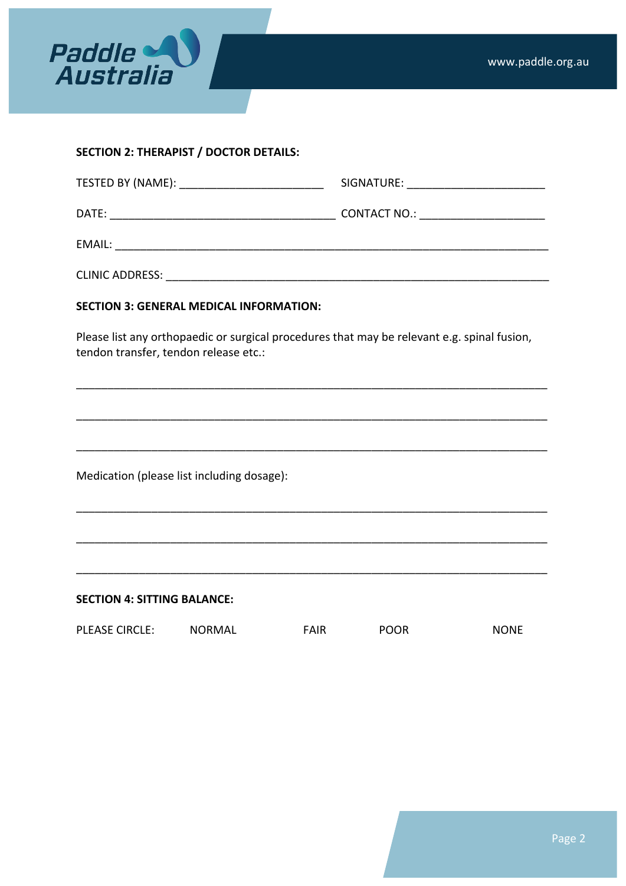

### **SECTION 2: THERAPIST / DOCTOR DETAILS:**

| DATE:<br><u> 1989 - Johann John Stone, markin film yn y brenin y brenin y brenin y brenin y brenin y brenin y brenin y br</u> | CONTACT NO.: _______________________ |
|-------------------------------------------------------------------------------------------------------------------------------|--------------------------------------|
| EMAIL:                                                                                                                        |                                      |
| <b>CLINIC ADDRESS:</b>                                                                                                        |                                      |

#### **SECTION 3: GENERAL MEDICAL INFORMATION:**

Please list any orthopaedic or surgical procedures that may be relevant e.g. spinal fusion, tendon transfer, tendon release etc.:

\_\_\_\_\_\_\_\_\_\_\_\_\_\_\_\_\_\_\_\_\_\_\_\_\_\_\_\_\_\_\_\_\_\_\_\_\_\_\_\_\_\_\_\_\_\_\_\_\_\_\_\_\_\_\_\_\_\_\_\_\_\_\_\_\_\_\_\_\_\_\_\_\_\_\_

\_\_\_\_\_\_\_\_\_\_\_\_\_\_\_\_\_\_\_\_\_\_\_\_\_\_\_\_\_\_\_\_\_\_\_\_\_\_\_\_\_\_\_\_\_\_\_\_\_\_\_\_\_\_\_\_\_\_\_\_\_\_\_\_\_\_\_\_\_\_\_\_\_\_\_

\_\_\_\_\_\_\_\_\_\_\_\_\_\_\_\_\_\_\_\_\_\_\_\_\_\_\_\_\_\_\_\_\_\_\_\_\_\_\_\_\_\_\_\_\_\_\_\_\_\_\_\_\_\_\_\_\_\_\_\_\_\_\_\_\_\_\_\_\_\_\_\_\_\_\_

\_\_\_\_\_\_\_\_\_\_\_\_\_\_\_\_\_\_\_\_\_\_\_\_\_\_\_\_\_\_\_\_\_\_\_\_\_\_\_\_\_\_\_\_\_\_\_\_\_\_\_\_\_\_\_\_\_\_\_\_\_\_\_\_\_\_\_\_\_\_\_\_\_\_\_

\_\_\_\_\_\_\_\_\_\_\_\_\_\_\_\_\_\_\_\_\_\_\_\_\_\_\_\_\_\_\_\_\_\_\_\_\_\_\_\_\_\_\_\_\_\_\_\_\_\_\_\_\_\_\_\_\_\_\_\_\_\_\_\_\_\_\_\_\_\_\_\_\_\_\_

\_\_\_\_\_\_\_\_\_\_\_\_\_\_\_\_\_\_\_\_\_\_\_\_\_\_\_\_\_\_\_\_\_\_\_\_\_\_\_\_\_\_\_\_\_\_\_\_\_\_\_\_\_\_\_\_\_\_\_\_\_\_\_\_\_\_\_\_\_\_\_\_\_\_\_

Medication (please list including dosage):

**SECTION 4: SITTING BALANCE:** 

| PLEASE CIRCLE: | NORMAL | FAIR | <b>POOR</b> | <b>NONE</b> |
|----------------|--------|------|-------------|-------------|
|                |        |      |             |             |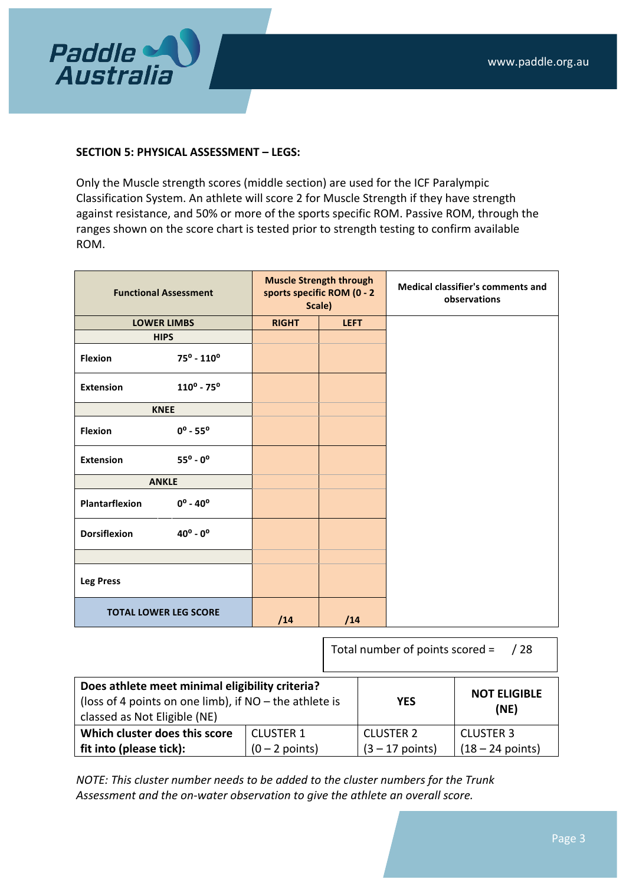

#### **SECTION 5: PHYSICAL ASSESSMENT – LEGS:**

Only the Muscle strength scores (middle section) are used for the ICF Paralympic Classification System. An athlete will score 2 for Muscle Strength if they have strength against resistance, and 50% or more of the sports specific ROM. Passive ROM, through the ranges shown on the score chart is tested prior to strength testing to confirm available ROM.

| <b>Functional Assessment</b> |                               | <b>Muscle Strength through</b><br>sports specific ROM (0 - 2<br>Scale) |             | <b>Medical classifier's comments and</b><br>observations |
|------------------------------|-------------------------------|------------------------------------------------------------------------|-------------|----------------------------------------------------------|
| <b>LOWER LIMBS</b>           |                               | <b>RIGHT</b>                                                           | <b>LEFT</b> |                                                          |
| <b>HIPS</b>                  |                               |                                                                        |             |                                                          |
| <b>Flexion</b>               | $75^{\circ}$ - $110^{\circ}$  |                                                                        |             |                                                          |
| <b>Extension</b>             | $110^{\circ}$ - 75 $^{\circ}$ |                                                                        |             |                                                          |
| <b>KNEE</b>                  |                               |                                                                        |             |                                                          |
| <b>Flexion</b>               | $0^{\circ}$ - 55 $^{\circ}$   |                                                                        |             |                                                          |
| <b>Extension</b>             | $55^{\circ}$ - 0°             |                                                                        |             |                                                          |
| <b>ANKLE</b>                 |                               |                                                                        |             |                                                          |
| Plantarflexion               | $0^{\circ}$ - 40 $^{\circ}$   |                                                                        |             |                                                          |
| <b>Dorsiflexion</b>          | $40^{\circ} - 0^{\circ}$      |                                                                        |             |                                                          |
|                              |                               |                                                                        |             |                                                          |
| <b>Leg Press</b>             |                               |                                                                        |             |                                                          |
| <b>TOTAL LOWER LEG SCORE</b> |                               | /14                                                                    | /14         |                                                          |

Total number of points scored =  $\frac{1}{28}$ 

| Does athlete meet minimal eligibility criteria?<br>(loss of 4 points on one limb), if $NO$ – the athlete is<br>classed as Not Eligible (NE) | <b>YES</b> | <b>NOT ELIGIBLE</b><br>(NE) |                    |
|---------------------------------------------------------------------------------------------------------------------------------------------|------------|-----------------------------|--------------------|
| Which cluster does this score<br><b>CLUSTER 1</b>                                                                                           |            | <b>CLUSTER 2</b>            | <b>CLUSTER 3</b>   |
| fit into (please tick):<br>$(0 - 2$ points)                                                                                                 |            | $(3 - 17$ points)           | $(18 - 24$ points) |

*NOTE:* This cluster number needs to be added to the cluster numbers for the Trunk Assessment and the on-water observation to give the athlete an overall score.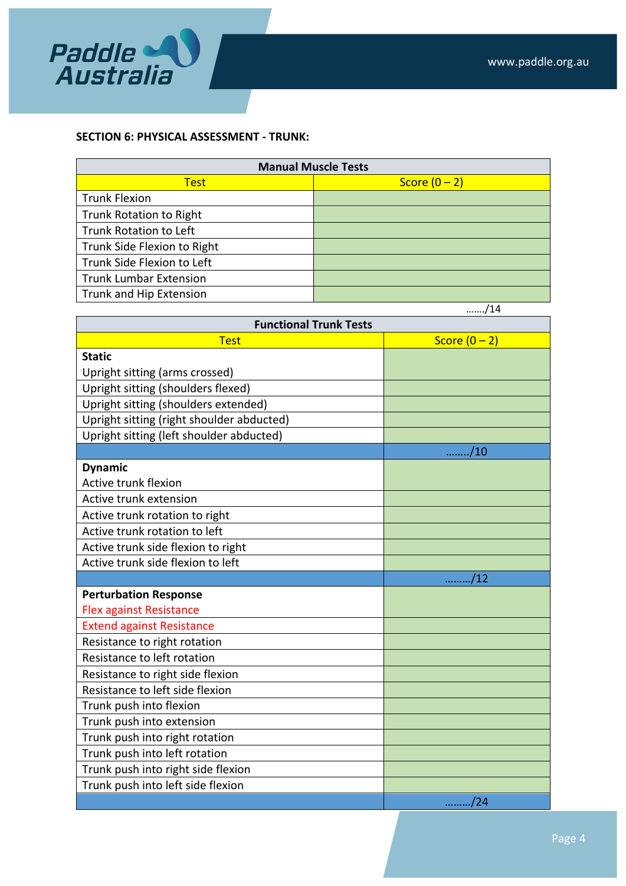

#### **SECTION 6: PHYSICAL ASSESSMENT - TRUNK:**

| <b>Manual Muscle Tests</b>     |               |  |  |
|--------------------------------|---------------|--|--|
| <b>Test</b>                    | Score $(0-2)$ |  |  |
| <b>Trunk Flexion</b>           |               |  |  |
| <b>Trunk Rotation to Right</b> |               |  |  |
| Trunk Rotation to Left         |               |  |  |
| Trunk Side Flexion to Right    |               |  |  |
| Trunk Side Flexion to Left     |               |  |  |
| <b>Trunk Lumbar Extension</b>  |               |  |  |
| <b>Trunk and Hip Extension</b> |               |  |  |

|                                           | /14                               |  |  |  |
|-------------------------------------------|-----------------------------------|--|--|--|
| <b>Functional Trunk Tests</b>             |                                   |  |  |  |
| <b>Test</b>                               | Score $(0 - 2)$                   |  |  |  |
| <b>Static</b>                             |                                   |  |  |  |
| Upright sitting (arms crossed)            |                                   |  |  |  |
| Upright sitting (shoulders flexed)        |                                   |  |  |  |
| Upright sitting (shoulders extended)      |                                   |  |  |  |
| Upright sitting (right shoulder abducted) |                                   |  |  |  |
| Upright sitting (left shoulder abducted)  |                                   |  |  |  |
|                                           | /10                               |  |  |  |
| <b>Dynamic</b>                            |                                   |  |  |  |
| <b>Active trunk flexion</b>               |                                   |  |  |  |
| Active trunk extension                    |                                   |  |  |  |
| Active trunk rotation to right            |                                   |  |  |  |
| Active trunk rotation to left             |                                   |  |  |  |
| Active trunk side flexion to right        |                                   |  |  |  |
| Active trunk side flexion to left         |                                   |  |  |  |
|                                           | /12                               |  |  |  |
| <b>Perturbation Response</b>              |                                   |  |  |  |
| <b>Flex against Resistance</b>            |                                   |  |  |  |
| <b>Extend against Resistance</b>          |                                   |  |  |  |
| Resistance to right rotation              |                                   |  |  |  |
| Resistance to left rotation               |                                   |  |  |  |
| Resistance to right side flexion          |                                   |  |  |  |
| Resistance to left side flexion           |                                   |  |  |  |
| Trunk push into flexion                   |                                   |  |  |  |
| Trunk push into extension                 |                                   |  |  |  |
| Trunk push into right rotation            |                                   |  |  |  |
| Trunk push into left rotation             |                                   |  |  |  |
| Trunk push into right side flexion        |                                   |  |  |  |
| Trunk push into left side flexion         |                                   |  |  |  |
|                                           | $\ldots \ldots \ldots \ldots$ /24 |  |  |  |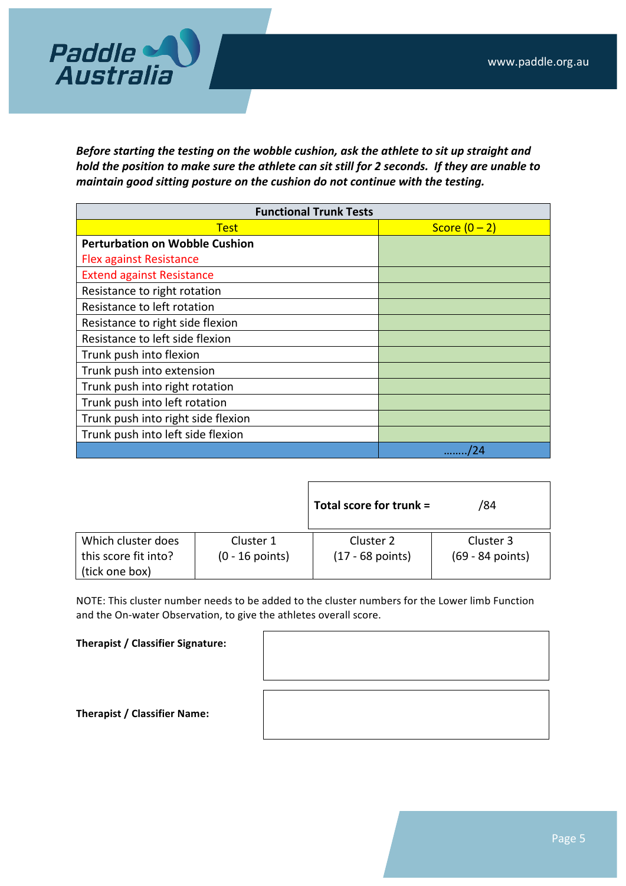

Before starting the testing on the wobble cushion, ask the athlete to sit up straight and *hold the position to make sure the athlete can sit still for 2 seconds. If they are unable to maintain good sitting posture on the cushion do not continue with the testing.* 

| <b>Functional Trunk Tests</b>         |                 |  |  |
|---------------------------------------|-----------------|--|--|
| <b>Test</b>                           | Score $(0 - 2)$ |  |  |
| <b>Perturbation on Wobble Cushion</b> |                 |  |  |
| <b>Flex against Resistance</b>        |                 |  |  |
| <b>Extend against Resistance</b>      |                 |  |  |
| Resistance to right rotation          |                 |  |  |
| Resistance to left rotation           |                 |  |  |
| Resistance to right side flexion      |                 |  |  |
| Resistance to left side flexion       |                 |  |  |
| Trunk push into flexion               |                 |  |  |
| Trunk push into extension             |                 |  |  |
| Trunk push into right rotation        |                 |  |  |
| Trunk push into left rotation         |                 |  |  |
| Trunk push into right side flexion    |                 |  |  |
| Trunk push into left side flexion     |                 |  |  |
|                                       |                 |  |  |

|                                        |                   | Total score for trunk = | /84              |
|----------------------------------------|-------------------|-------------------------|------------------|
| Which cluster does                     | Cluster 1         | Cluster 2               | Cluster 3        |
| this score fit into?<br>(tick one box) | $(0 - 16$ points) | $(17 - 68$ points)      | (69 - 84 points) |

NOTE: This cluster number needs to be added to the cluster numbers for the Lower limb Function and the On-water Observation, to give the athletes overall score.

**Therapist / Classifier Signature:**

**Therapist / Classifier Name:**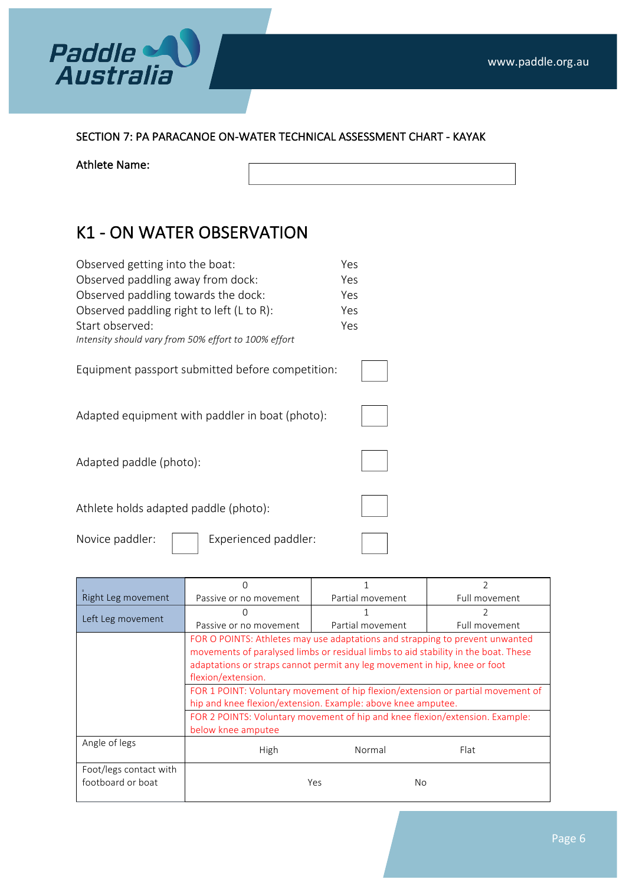

SECTION 7: PA PARACANOE ON-WATER TECHNICAL ASSESSMENT CHART - KAYAK

Athlete Name:

## K1 - ON WATER OBSERVATION

| Observed getting into the boat:                      | Yes |
|------------------------------------------------------|-----|
| Observed paddling away from dock:                    | Yes |
| Observed paddling towards the dock:                  | Yes |
| Observed paddling right to left (L to R):            | Yes |
| Start observed:                                      | Yes |
| Intensity should vary from 50% effort to 100% effort |     |
| Equipment passport submitted before competition:     |     |
| Adapted equipment with paddler in boat (photo):      |     |
| Adapted paddle (photo):                              |     |
| Athlete holds adapted paddle (photo):                |     |
| Novice paddler:<br>Experienced paddler:              |     |

| Right Leg movement     | Passive or no movement                                                             | Partial movement | Full movement |  |
|------------------------|------------------------------------------------------------------------------------|------------------|---------------|--|
|                        |                                                                                    |                  |               |  |
| Left Leg movement      | Passive or no movement                                                             | Partial movement | Full movement |  |
|                        | FOR O POINTS: Athletes may use adaptations and strapping to prevent unwanted       |                  |               |  |
|                        | movements of paralysed limbs or residual limbs to aid stability in the boat. These |                  |               |  |
|                        | adaptations or straps cannot permit any leg movement in hip, knee or foot          |                  |               |  |
|                        | flexion/extension.                                                                 |                  |               |  |
|                        | FOR 1 POINT: Voluntary movement of hip flexion/extension or partial movement of    |                  |               |  |
|                        | hip and knee flexion/extension. Example: above knee amputee.                       |                  |               |  |
|                        | FOR 2 POINTS: Voluntary movement of hip and knee flexion/extension. Example:       |                  |               |  |
|                        | below knee amputee                                                                 |                  |               |  |
| Angle of legs          | High                                                                               | Normal           | Flat          |  |
| Foot/legs contact with |                                                                                    |                  |               |  |
| footboard or boat      |                                                                                    | Yes<br>No        |               |  |
|                        |                                                                                    |                  |               |  |